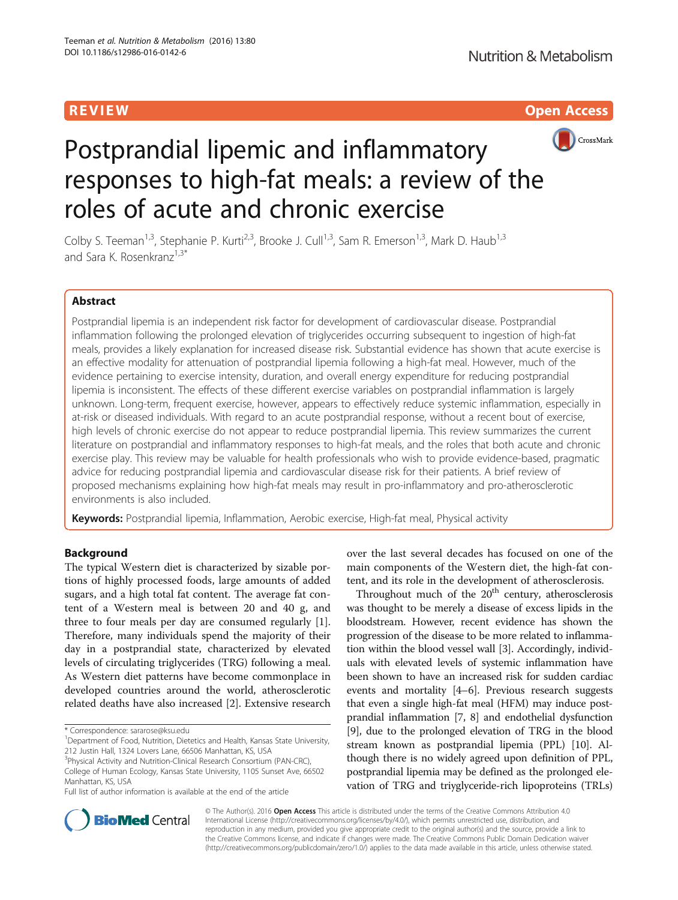R EVI EW Open Access



# Postprandial lipemic and inflammatory responses to high-fat meals: a review of the roles of acute and chronic exercise

Colby S. Teeman<sup>1,3</sup>, Stephanie P. Kurti<sup>2,3</sup>, Brooke J. Cull<sup>1,3</sup>, Sam R. Emerson<sup>1,3</sup>, Mark D. Haub<sup>1,3</sup> and Sara K. Rosenkranz<sup>1,3\*</sup>

# Abstract

Postprandial lipemia is an independent risk factor for development of cardiovascular disease. Postprandial inflammation following the prolonged elevation of triglycerides occurring subsequent to ingestion of high-fat meals, provides a likely explanation for increased disease risk. Substantial evidence has shown that acute exercise is an effective modality for attenuation of postprandial lipemia following a high-fat meal. However, much of the evidence pertaining to exercise intensity, duration, and overall energy expenditure for reducing postprandial lipemia is inconsistent. The effects of these different exercise variables on postprandial inflammation is largely unknown. Long-term, frequent exercise, however, appears to effectively reduce systemic inflammation, especially in at-risk or diseased individuals. With regard to an acute postprandial response, without a recent bout of exercise, high levels of chronic exercise do not appear to reduce postprandial lipemia. This review summarizes the current literature on postprandial and inflammatory responses to high-fat meals, and the roles that both acute and chronic exercise play. This review may be valuable for health professionals who wish to provide evidence-based, pragmatic advice for reducing postprandial lipemia and cardiovascular disease risk for their patients. A brief review of proposed mechanisms explaining how high-fat meals may result in pro-inflammatory and pro-atherosclerotic environments is also included.

Keywords: Postprandial lipemia, Inflammation, Aerobic exercise, High-fat meal, Physical activity

# Background

The typical Western diet is characterized by sizable portions of highly processed foods, large amounts of added sugars, and a high total fat content. The average fat content of a Western meal is between 20 and 40 g, and three to four meals per day are consumed regularly [\[1](#page-10-0)]. Therefore, many individuals spend the majority of their day in a postprandial state, characterized by elevated levels of circulating triglycerides (TRG) following a meal. As Western diet patterns have become commonplace in developed countries around the world, atherosclerotic related deaths have also increased [[2\]](#page-10-0). Extensive research over the last several decades has focused on one of the main components of the Western diet, the high-fat content, and its role in the development of atherosclerosis.

Throughout much of the  $20<sup>th</sup>$  century, atherosclerosis was thought to be merely a disease of excess lipids in the bloodstream. However, recent evidence has shown the progression of the disease to be more related to inflammation within the blood vessel wall [\[3](#page-10-0)]. Accordingly, individuals with elevated levels of systemic inflammation have been shown to have an increased risk for sudden cardiac events and mortality [[4](#page-10-0)–[6](#page-10-0)]. Previous research suggests that even a single high-fat meal (HFM) may induce postprandial inflammation [\[7](#page-10-0), [8](#page-10-0)] and endothelial dysfunction [[9\]](#page-10-0), due to the prolonged elevation of TRG in the blood stream known as postprandial lipemia (PPL) [\[10\]](#page-10-0). Although there is no widely agreed upon definition of PPL, postprandial lipemia may be defined as the prolonged elevation of TRG and triyglyceride-rich lipoproteins (TRLs)



© The Author(s). 2016 Open Access This article is distributed under the terms of the Creative Commons Attribution 4.0 International License [\(http://creativecommons.org/licenses/by/4.0/](http://creativecommons.org/licenses/by/4.0/)), which permits unrestricted use, distribution, and reproduction in any medium, provided you give appropriate credit to the original author(s) and the source, provide a link to the Creative Commons license, and indicate if changes were made. The Creative Commons Public Domain Dedication waiver [\(http://creativecommons.org/publicdomain/zero/1.0/](http://creativecommons.org/publicdomain/zero/1.0/)) applies to the data made available in this article, unless otherwise stated.

<sup>\*</sup> Correspondence: [sararose@ksu.edu](mailto:sararose@ksu.edu) <sup>1</sup>

<sup>&</sup>lt;sup>1</sup>Department of Food, Nutrition, Dietetics and Health, Kansas State University, 212 Justin Hall, 1324 Lovers Lane, 66506 Manhattan, KS, USA

<sup>&</sup>lt;sup>3</sup> Physical Activity and Nutrition-Clinical Research Consortium (PAN-CRC),

College of Human Ecology, Kansas State University, 1105 Sunset Ave, 66502 Manhattan, KS, USA

Full list of author information is available at the end of the article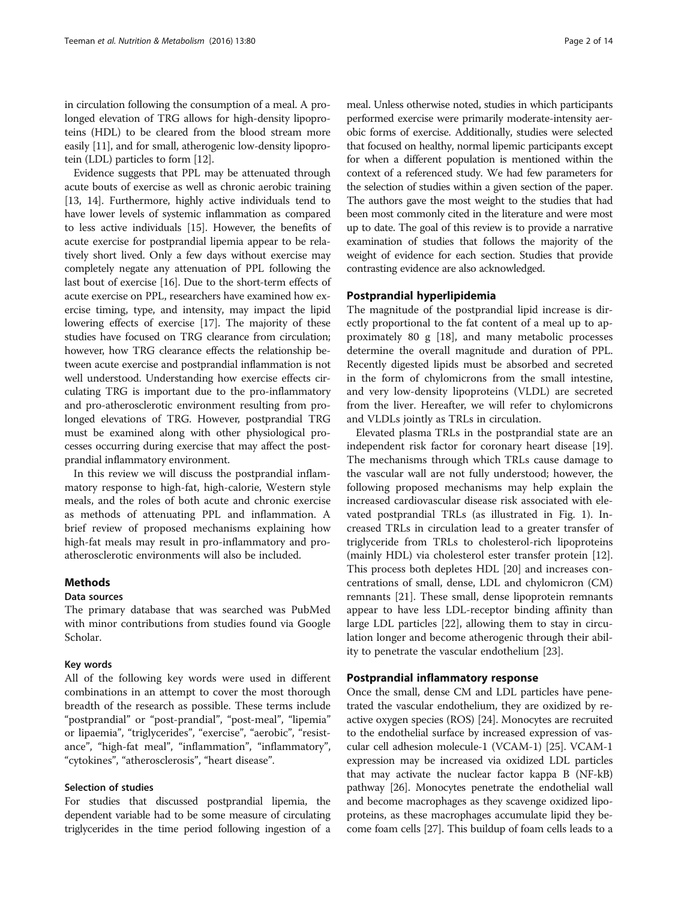in circulation following the consumption of a meal. A prolonged elevation of TRG allows for high-density lipoproteins (HDL) to be cleared from the blood stream more easily [\[11\]](#page-10-0), and for small, atherogenic low-density lipoprotein (LDL) particles to form [\[12\]](#page-10-0).

Evidence suggests that PPL may be attenuated through acute bouts of exercise as well as chronic aerobic training [[13](#page-10-0), [14](#page-10-0)]. Furthermore, highly active individuals tend to have lower levels of systemic inflammation as compared to less active individuals [\[15](#page-10-0)]. However, the benefits of acute exercise for postprandial lipemia appear to be relatively short lived. Only a few days without exercise may completely negate any attenuation of PPL following the last bout of exercise [[16](#page-10-0)]. Due to the short-term effects of acute exercise on PPL, researchers have examined how exercise timing, type, and intensity, may impact the lipid lowering effects of exercise [[17](#page-10-0)]. The majority of these studies have focused on TRG clearance from circulation; however, how TRG clearance effects the relationship between acute exercise and postprandial inflammation is not well understood. Understanding how exercise effects circulating TRG is important due to the pro-inflammatory and pro-atherosclerotic environment resulting from prolonged elevations of TRG. However, postprandial TRG must be examined along with other physiological processes occurring during exercise that may affect the postprandial inflammatory environment.

In this review we will discuss the postprandial inflammatory response to high-fat, high-calorie, Western style meals, and the roles of both acute and chronic exercise as methods of attenuating PPL and inflammation. A brief review of proposed mechanisms explaining how high-fat meals may result in pro-inflammatory and proatherosclerotic environments will also be included.

# **Methods**

#### Data sources

The primary database that was searched was PubMed with minor contributions from studies found via Google Scholar.

#### Key words

All of the following key words were used in different combinations in an attempt to cover the most thorough breadth of the research as possible. These terms include "postprandial" or "post-prandial", "post-meal", "lipemia" or lipaemia", "triglycerides", "exercise", "aerobic", "resistance", "high-fat meal", "inflammation", "inflammatory", "cytokines", "atherosclerosis", "heart disease".

#### Selection of studies

For studies that discussed postprandial lipemia, the dependent variable had to be some measure of circulating triglycerides in the time period following ingestion of a

meal. Unless otherwise noted, studies in which participants performed exercise were primarily moderate-intensity aerobic forms of exercise. Additionally, studies were selected that focused on healthy, normal lipemic participants except for when a different population is mentioned within the context of a referenced study. We had few parameters for the selection of studies within a given section of the paper. The authors gave the most weight to the studies that had been most commonly cited in the literature and were most up to date. The goal of this review is to provide a narrative examination of studies that follows the majority of the weight of evidence for each section. Studies that provide contrasting evidence are also acknowledged.

# Postprandial hyperlipidemia

The magnitude of the postprandial lipid increase is directly proportional to the fat content of a meal up to approximately 80 g [[18](#page-10-0)], and many metabolic processes determine the overall magnitude and duration of PPL. Recently digested lipids must be absorbed and secreted in the form of chylomicrons from the small intestine, and very low-density lipoproteins (VLDL) are secreted from the liver. Hereafter, we will refer to chylomicrons and VLDLs jointly as TRLs in circulation.

Elevated plasma TRLs in the postprandial state are an independent risk factor for coronary heart disease [\[19](#page-10-0)]. The mechanisms through which TRLs cause damage to the vascular wall are not fully understood; however, the following proposed mechanisms may help explain the increased cardiovascular disease risk associated with elevated postprandial TRLs (as illustrated in Fig. [1\)](#page-2-0). Increased TRLs in circulation lead to a greater transfer of triglyceride from TRLs to cholesterol-rich lipoproteins (mainly HDL) via cholesterol ester transfer protein [\[12](#page-10-0)]. This process both depletes HDL [\[20\]](#page-10-0) and increases concentrations of small, dense, LDL and chylomicron (CM) remnants [\[21](#page-10-0)]. These small, dense lipoprotein remnants appear to have less LDL-receptor binding affinity than large LDL particles [[22\]](#page-10-0), allowing them to stay in circulation longer and become atherogenic through their ability to penetrate the vascular endothelium [[23\]](#page-10-0).

# Postprandial inflammatory response

Once the small, dense CM and LDL particles have penetrated the vascular endothelium, they are oxidized by reactive oxygen species (ROS) [[24\]](#page-10-0). Monocytes are recruited to the endothelial surface by increased expression of vascular cell adhesion molecule-1 (VCAM-1) [[25](#page-10-0)]. VCAM-1 expression may be increased via oxidized LDL particles that may activate the nuclear factor kappa B (NF-kB) pathway [[26](#page-10-0)]. Monocytes penetrate the endothelial wall and become macrophages as they scavenge oxidized lipoproteins, as these macrophages accumulate lipid they become foam cells [\[27](#page-10-0)]. This buildup of foam cells leads to a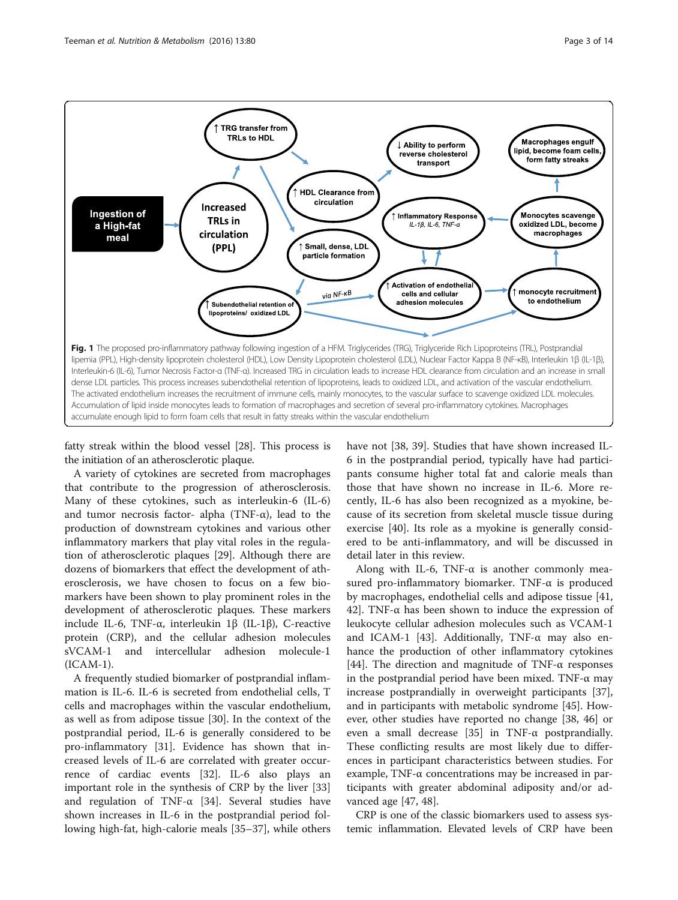<span id="page-2-0"></span>

fatty streak within the blood vessel [[28](#page-10-0)]. This process is the initiation of an atherosclerotic plaque.

A variety of cytokines are secreted from macrophages that contribute to the progression of atherosclerosis. Many of these cytokines, such as interleukin-6 (IL-6) and tumor necrosis factor- alpha (TNF- $\alpha$ ), lead to the production of downstream cytokines and various other inflammatory markers that play vital roles in the regulation of atherosclerotic plaques [\[29](#page-10-0)]. Although there are dozens of biomarkers that effect the development of atherosclerosis, we have chosen to focus on a few biomarkers have been shown to play prominent roles in the development of atherosclerotic plaques. These markers include IL-6, TNF-α, interleukin 1β (IL-1β), C-reactive protein (CRP), and the cellular adhesion molecules sVCAM-1 and intercellular adhesion molecule-1 (ICAM-1).

A frequently studied biomarker of postprandial inflammation is IL-6. IL-6 is secreted from endothelial cells, T cells and macrophages within the vascular endothelium, as well as from adipose tissue [[30\]](#page-10-0). In the context of the postprandial period, IL-6 is generally considered to be pro-inflammatory [[31\]](#page-10-0). Evidence has shown that increased levels of IL-6 are correlated with greater occurrence of cardiac events [[32](#page-10-0)]. IL-6 also plays an important role in the synthesis of CRP by the liver [[33](#page-10-0)] and regulation of TNF-α [\[34](#page-10-0)]. Several studies have shown increases in IL-6 in the postprandial period following high-fat, high-calorie meals [\[35](#page-10-0)–[37\]](#page-10-0), while others

have not [[38, 39\]](#page-10-0). Studies that have shown increased IL-6 in the postprandial period, typically have had participants consume higher total fat and calorie meals than those that have shown no increase in IL-6. More recently, IL-6 has also been recognized as a myokine, because of its secretion from skeletal muscle tissue during exercise [\[40](#page-11-0)]. Its role as a myokine is generally considered to be anti-inflammatory, and will be discussed in detail later in this review.

Along with IL-6, TNF- $\alpha$  is another commonly measured pro-inflammatory biomarker. TNF-α is produced by macrophages, endothelial cells and adipose tissue [[41](#page-11-0), [42\]](#page-11-0). TNF-α has been shown to induce the expression of leukocyte cellular adhesion molecules such as VCAM-1 and ICAM-1 [\[43\]](#page-11-0). Additionally, TNF-α may also enhance the production of other inflammatory cytokines [[44\]](#page-11-0). The direction and magnitude of TNF- $\alpha$  responses in the postprandial period have been mixed. TNF-α may increase postprandially in overweight participants [\[37](#page-10-0)], and in participants with metabolic syndrome [[45\]](#page-11-0). However, other studies have reported no change [[38,](#page-10-0) [46\]](#page-11-0) or even a small decrease [[35](#page-10-0)] in TNF-α postprandially. These conflicting results are most likely due to differences in participant characteristics between studies. For example, TNF-α concentrations may be increased in participants with greater abdominal adiposity and/or advanced age [[47](#page-11-0), [48](#page-11-0)].

CRP is one of the classic biomarkers used to assess systemic inflammation. Elevated levels of CRP have been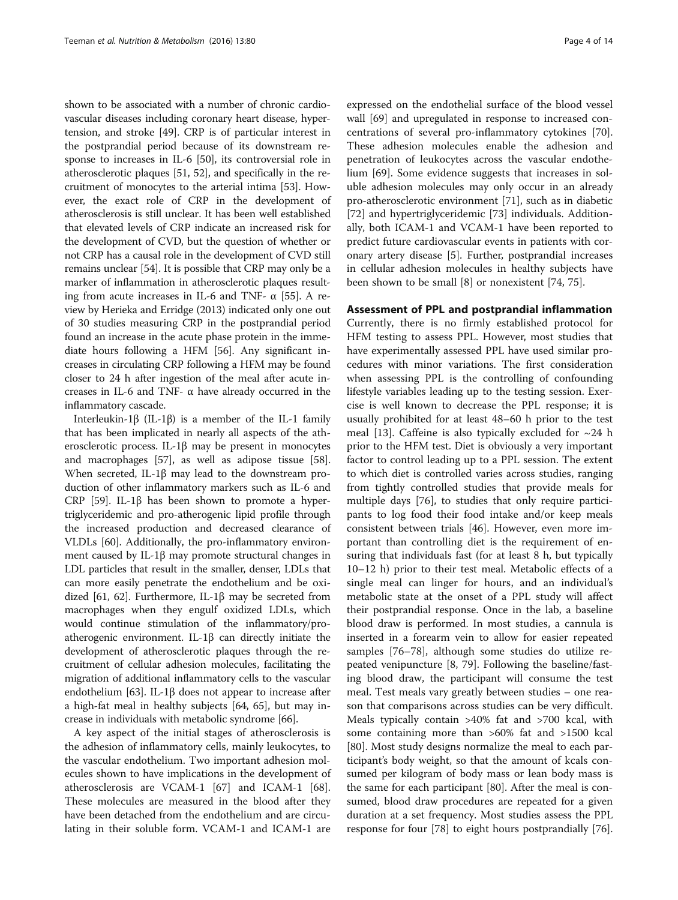shown to be associated with a number of chronic cardiovascular diseases including coronary heart disease, hypertension, and stroke [[49](#page-11-0)]. CRP is of particular interest in the postprandial period because of its downstream response to increases in IL-6 [[50](#page-11-0)], its controversial role in atherosclerotic plaques [\[51, 52\]](#page-11-0), and specifically in the recruitment of monocytes to the arterial intima [\[53](#page-11-0)]. However, the exact role of CRP in the development of atherosclerosis is still unclear. It has been well established that elevated levels of CRP indicate an increased risk for the development of CVD, but the question of whether or not CRP has a causal role in the development of CVD still remains unclear [\[54](#page-11-0)]. It is possible that CRP may only be a marker of inflammation in atherosclerotic plaques resulting from acute increases in IL-6 and TNF-  $\alpha$  [[55\]](#page-11-0). A review by Herieka and Erridge (2013) indicated only one out of 30 studies measuring CRP in the postprandial period found an increase in the acute phase protein in the immediate hours following a HFM [\[56\]](#page-11-0). Any significant increases in circulating CRP following a HFM may be found closer to 24 h after ingestion of the meal after acute increases in IL-6 and TNF- $\alpha$  have already occurred in the inflammatory cascade.

Interleukin-1β (IL-1β) is a member of the IL-1 family that has been implicated in nearly all aspects of the atherosclerotic process. IL-1β may be present in monocytes and macrophages [[57](#page-11-0)], as well as adipose tissue [[58](#page-11-0)]. When secreted, IL-1β may lead to the downstream production of other inflammatory markers such as IL-6 and CRP [[59](#page-11-0)]. IL-1β has been shown to promote a hypertriglyceridemic and pro-atherogenic lipid profile through the increased production and decreased clearance of VLDLs [[60\]](#page-11-0). Additionally, the pro-inflammatory environment caused by IL-1β may promote structural changes in LDL particles that result in the smaller, denser, LDLs that can more easily penetrate the endothelium and be oxidized [[61](#page-11-0), [62\]](#page-11-0). Furthermore, IL-1β may be secreted from macrophages when they engulf oxidized LDLs, which would continue stimulation of the inflammatory/proatherogenic environment. IL-1β can directly initiate the development of atherosclerotic plaques through the recruitment of cellular adhesion molecules, facilitating the migration of additional inflammatory cells to the vascular endothelium [[63](#page-11-0)]. IL-1 $\beta$  does not appear to increase after a high-fat meal in healthy subjects [[64](#page-11-0), [65](#page-11-0)], but may increase in individuals with metabolic syndrome [\[66\]](#page-11-0).

A key aspect of the initial stages of atherosclerosis is the adhesion of inflammatory cells, mainly leukocytes, to the vascular endothelium. Two important adhesion molecules shown to have implications in the development of atherosclerosis are VCAM-1 [[67\]](#page-11-0) and ICAM-1 [\[68](#page-11-0)]. These molecules are measured in the blood after they have been detached from the endothelium and are circulating in their soluble form. VCAM-1 and ICAM-1 are expressed on the endothelial surface of the blood vessel wall [[69\]](#page-11-0) and upregulated in response to increased concentrations of several pro-inflammatory cytokines [\[70](#page-11-0)]. These adhesion molecules enable the adhesion and penetration of leukocytes across the vascular endothelium [\[69](#page-11-0)]. Some evidence suggests that increases in soluble adhesion molecules may only occur in an already pro-atherosclerotic environment [\[71\]](#page-11-0), such as in diabetic [[72\]](#page-11-0) and hypertriglyceridemic [[73\]](#page-11-0) individuals. Additionally, both ICAM-1 and VCAM-1 have been reported to predict future cardiovascular events in patients with coronary artery disease [[5\]](#page-10-0). Further, postprandial increases in cellular adhesion molecules in healthy subjects have been shown to be small [[8\]](#page-10-0) or nonexistent [\[74](#page-11-0), [75\]](#page-11-0).

# Assessment of PPL and postprandial inflammation

Currently, there is no firmly established protocol for HFM testing to assess PPL. However, most studies that have experimentally assessed PPL have used similar procedures with minor variations. The first consideration when assessing PPL is the controlling of confounding lifestyle variables leading up to the testing session. Exercise is well known to decrease the PPL response; it is usually prohibited for at least 48–60 h prior to the test meal [[13](#page-10-0)]. Caffeine is also typically excluded for  $\sim$ 24 h prior to the HFM test. Diet is obviously a very important factor to control leading up to a PPL session. The extent to which diet is controlled varies across studies, ranging from tightly controlled studies that provide meals for multiple days [\[76](#page-11-0)], to studies that only require participants to log food their food intake and/or keep meals consistent between trials [[46\]](#page-11-0). However, even more important than controlling diet is the requirement of ensuring that individuals fast (for at least 8 h, but typically 10–12 h) prior to their test meal. Metabolic effects of a single meal can linger for hours, and an individual's metabolic state at the onset of a PPL study will affect their postprandial response. Once in the lab, a baseline blood draw is performed. In most studies, a cannula is inserted in a forearm vein to allow for easier repeated samples [\[76](#page-11-0)–[78\]](#page-11-0), although some studies do utilize repeated venipuncture [\[8](#page-10-0), [79\]](#page-11-0). Following the baseline/fasting blood draw, the participant will consume the test meal. Test meals vary greatly between studies – one reason that comparisons across studies can be very difficult. Meals typically contain >40% fat and >700 kcal, with some containing more than >60% fat and >1500 kcal [[80\]](#page-11-0). Most study designs normalize the meal to each participant's body weight, so that the amount of kcals consumed per kilogram of body mass or lean body mass is the same for each participant [[80](#page-11-0)]. After the meal is consumed, blood draw procedures are repeated for a given duration at a set frequency. Most studies assess the PPL response for four [[78\]](#page-11-0) to eight hours postprandially [\[76](#page-11-0)].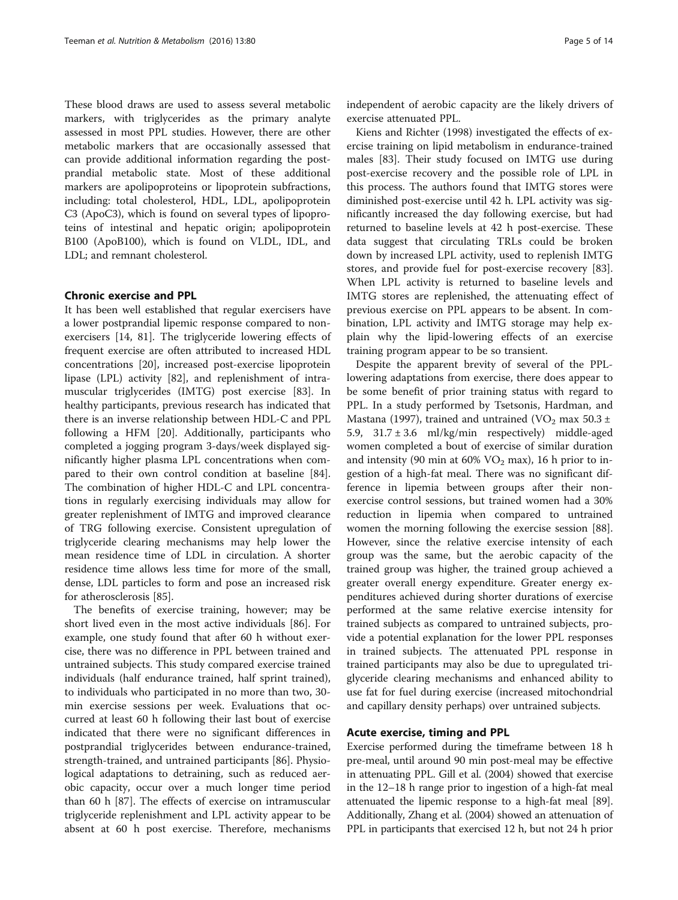These blood draws are used to assess several metabolic markers, with triglycerides as the primary analyte assessed in most PPL studies. However, there are other metabolic markers that are occasionally assessed that can provide additional information regarding the postprandial metabolic state. Most of these additional markers are apolipoproteins or lipoprotein subfractions, including: total cholesterol, HDL, LDL, apolipoprotein C3 (ApoC3), which is found on several types of lipoproteins of intestinal and hepatic origin; apolipoprotein B100 (ApoB100), which is found on VLDL, IDL, and LDL; and remnant cholesterol.

# Chronic exercise and PPL

It has been well established that regular exercisers have a lower postprandial lipemic response compared to nonexercisers [\[14](#page-10-0), [81\]](#page-11-0). The triglyceride lowering effects of frequent exercise are often attributed to increased HDL concentrations [[20\]](#page-10-0), increased post-exercise lipoprotein lipase (LPL) activity [\[82](#page-11-0)], and replenishment of intramuscular triglycerides (IMTG) post exercise [\[83](#page-11-0)]. In healthy participants, previous research has indicated that there is an inverse relationship between HDL-C and PPL following a HFM [[20\]](#page-10-0). Additionally, participants who completed a jogging program 3-days/week displayed significantly higher plasma LPL concentrations when compared to their own control condition at baseline [\[84](#page-11-0)]. The combination of higher HDL-C and LPL concentrations in regularly exercising individuals may allow for greater replenishment of IMTG and improved clearance of TRG following exercise. Consistent upregulation of triglyceride clearing mechanisms may help lower the mean residence time of LDL in circulation. A shorter residence time allows less time for more of the small, dense, LDL particles to form and pose an increased risk for atherosclerosis [[85](#page-11-0)].

The benefits of exercise training, however; may be short lived even in the most active individuals [[86\]](#page-12-0). For example, one study found that after 60 h without exercise, there was no difference in PPL between trained and untrained subjects. This study compared exercise trained individuals (half endurance trained, half sprint trained), to individuals who participated in no more than two, 30 min exercise sessions per week. Evaluations that occurred at least 60 h following their last bout of exercise indicated that there were no significant differences in postprandial triglycerides between endurance-trained, strength-trained, and untrained participants [\[86](#page-12-0)]. Physiological adaptations to detraining, such as reduced aerobic capacity, occur over a much longer time period than 60 h [[87\]](#page-12-0). The effects of exercise on intramuscular triglyceride replenishment and LPL activity appear to be absent at 60 h post exercise. Therefore, mechanisms independent of aerobic capacity are the likely drivers of exercise attenuated PPL.

Kiens and Richter (1998) investigated the effects of exercise training on lipid metabolism in endurance-trained males [\[83\]](#page-11-0). Their study focused on IMTG use during post-exercise recovery and the possible role of LPL in this process. The authors found that IMTG stores were diminished post-exercise until 42 h. LPL activity was significantly increased the day following exercise, but had returned to baseline levels at 42 h post-exercise. These data suggest that circulating TRLs could be broken down by increased LPL activity, used to replenish IMTG stores, and provide fuel for post-exercise recovery [\[83](#page-11-0)]. When LPL activity is returned to baseline levels and IMTG stores are replenished, the attenuating effect of previous exercise on PPL appears to be absent. In combination, LPL activity and IMTG storage may help explain why the lipid-lowering effects of an exercise training program appear to be so transient.

Despite the apparent brevity of several of the PPLlowering adaptations from exercise, there does appear to be some benefit of prior training status with regard to PPL. In a study performed by Tsetsonis, Hardman, and Mastana (1997), trained and untrained (VO<sub>2</sub> max 50.3 ± 5.9, 31.7 ± 3.6 ml/kg/min respectively) middle-aged women completed a bout of exercise of similar duration and intensity (90 min at 60%  $VO<sub>2</sub>$  max), 16 h prior to ingestion of a high-fat meal. There was no significant difference in lipemia between groups after their nonexercise control sessions, but trained women had a 30% reduction in lipemia when compared to untrained women the morning following the exercise session [\[88](#page-12-0)]. However, since the relative exercise intensity of each group was the same, but the aerobic capacity of the trained group was higher, the trained group achieved a greater overall energy expenditure. Greater energy expenditures achieved during shorter durations of exercise performed at the same relative exercise intensity for trained subjects as compared to untrained subjects, provide a potential explanation for the lower PPL responses in trained subjects. The attenuated PPL response in trained participants may also be due to upregulated triglyceride clearing mechanisms and enhanced ability to use fat for fuel during exercise (increased mitochondrial and capillary density perhaps) over untrained subjects.

#### Acute exercise, timing and PPL

Exercise performed during the timeframe between 18 h pre-meal, until around 90 min post-meal may be effective in attenuating PPL. Gill et al. (2004) showed that exercise in the 12–18 h range prior to ingestion of a high-fat meal attenuated the lipemic response to a high-fat meal [[89](#page-12-0)]. Additionally, Zhang et al. (2004) showed an attenuation of PPL in participants that exercised 12 h, but not 24 h prior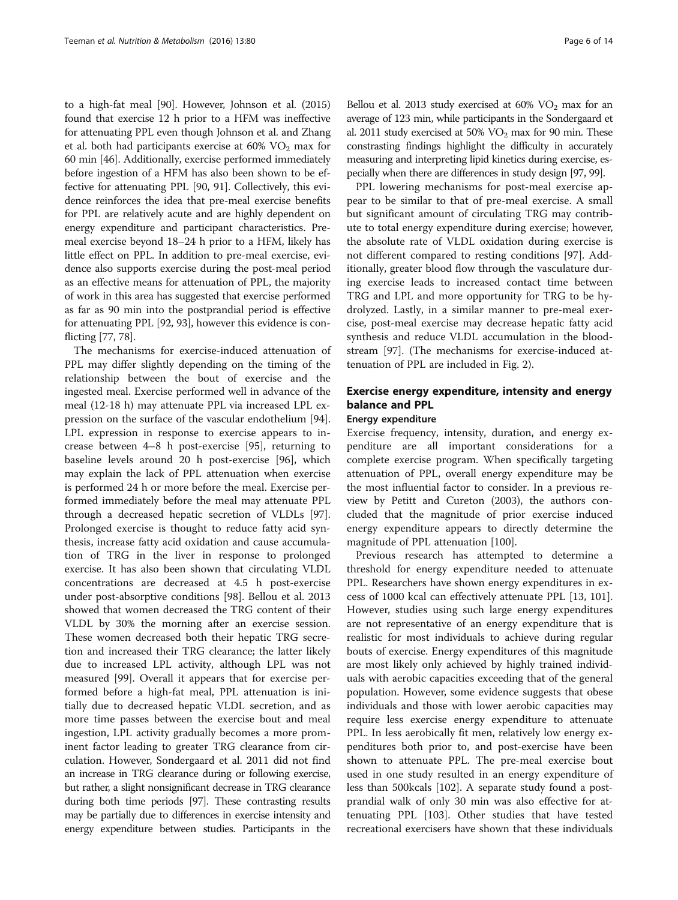to a high-fat meal [\[90\]](#page-12-0). However, Johnson et al. (2015) found that exercise 12 h prior to a HFM was ineffective for attenuating PPL even though Johnson et al. and Zhang et al. both had participants exercise at  $60\%$  VO<sub>2</sub> max for 60 min [[46](#page-11-0)]. Additionally, exercise performed immediately before ingestion of a HFM has also been shown to be effective for attenuating PPL [\[90](#page-12-0), [91](#page-12-0)]. Collectively, this evidence reinforces the idea that pre-meal exercise benefits for PPL are relatively acute and are highly dependent on energy expenditure and participant characteristics. Premeal exercise beyond 18–24 h prior to a HFM, likely has little effect on PPL. In addition to pre-meal exercise, evidence also supports exercise during the post-meal period as an effective means for attenuation of PPL, the majority of work in this area has suggested that exercise performed as far as 90 min into the postprandial period is effective for attenuating PPL [[92](#page-12-0), [93\]](#page-12-0), however this evidence is conflicting [\[77, 78\]](#page-11-0).

The mechanisms for exercise-induced attenuation of PPL may differ slightly depending on the timing of the relationship between the bout of exercise and the ingested meal. Exercise performed well in advance of the meal (12-18 h) may attenuate PPL via increased LPL expression on the surface of the vascular endothelium [\[94](#page-12-0)]. LPL expression in response to exercise appears to increase between 4–8 h post-exercise [[95](#page-12-0)], returning to baseline levels around 20 h post-exercise [\[96](#page-12-0)], which may explain the lack of PPL attenuation when exercise is performed 24 h or more before the meal. Exercise performed immediately before the meal may attenuate PPL through a decreased hepatic secretion of VLDLs [\[97](#page-12-0)]. Prolonged exercise is thought to reduce fatty acid synthesis, increase fatty acid oxidation and cause accumulation of TRG in the liver in response to prolonged exercise. It has also been shown that circulating VLDL concentrations are decreased at 4.5 h post-exercise under post-absorptive conditions [[98](#page-12-0)]. Bellou et al. 2013 showed that women decreased the TRG content of their VLDL by 30% the morning after an exercise session. These women decreased both their hepatic TRG secretion and increased their TRG clearance; the latter likely due to increased LPL activity, although LPL was not measured [\[99](#page-12-0)]. Overall it appears that for exercise performed before a high-fat meal, PPL attenuation is initially due to decreased hepatic VLDL secretion, and as more time passes between the exercise bout and meal ingestion, LPL activity gradually becomes a more prominent factor leading to greater TRG clearance from circulation. However, Sondergaard et al. 2011 did not find an increase in TRG clearance during or following exercise, but rather, a slight nonsignificant decrease in TRG clearance during both time periods [\[97](#page-12-0)]. These contrasting results may be partially due to differences in exercise intensity and energy expenditure between studies. Participants in the

Bellou et al. 2013 study exercised at  $60\%$  VO<sub>2</sub> max for an average of 123 min, while participants in the Sondergaard et al. 2011 study exercised at 50%  $VO<sub>2</sub>$  max for 90 min. These constrasting findings highlight the difficulty in accurately measuring and interpreting lipid kinetics during exercise, especially when there are differences in study design [[97](#page-12-0), [99\]](#page-12-0).

PPL lowering mechanisms for post-meal exercise appear to be similar to that of pre-meal exercise. A small but significant amount of circulating TRG may contribute to total energy expenditure during exercise; however, the absolute rate of VLDL oxidation during exercise is not different compared to resting conditions [[97](#page-12-0)]. Additionally, greater blood flow through the vasculature during exercise leads to increased contact time between TRG and LPL and more opportunity for TRG to be hydrolyzed. Lastly, in a similar manner to pre-meal exercise, post-meal exercise may decrease hepatic fatty acid synthesis and reduce VLDL accumulation in the bloodstream [[97\]](#page-12-0). (The mechanisms for exercise-induced attenuation of PPL are included in Fig. [2\)](#page-6-0).

# Exercise energy expenditure, intensity and energy balance and PPL

# Energy expenditure

Exercise frequency, intensity, duration, and energy expenditure are all important considerations for a complete exercise program. When specifically targeting attenuation of PPL, overall energy expenditure may be the most influential factor to consider. In a previous review by Petitt and Cureton (2003), the authors concluded that the magnitude of prior exercise induced energy expenditure appears to directly determine the magnitude of PPL attenuation [\[100](#page-12-0)].

Previous research has attempted to determine a threshold for energy expenditure needed to attenuate PPL. Researchers have shown energy expenditures in excess of 1000 kcal can effectively attenuate PPL [\[13](#page-10-0), [101](#page-12-0)]. However, studies using such large energy expenditures are not representative of an energy expenditure that is realistic for most individuals to achieve during regular bouts of exercise. Energy expenditures of this magnitude are most likely only achieved by highly trained individuals with aerobic capacities exceeding that of the general population. However, some evidence suggests that obese individuals and those with lower aerobic capacities may require less exercise energy expenditure to attenuate PPL. In less aerobically fit men, relatively low energy expenditures both prior to, and post-exercise have been shown to attenuate PPL. The pre-meal exercise bout used in one study resulted in an energy expenditure of less than 500kcals [\[102\]](#page-12-0). A separate study found a postprandial walk of only 30 min was also effective for attenuating PPL [[103](#page-12-0)]. Other studies that have tested recreational exercisers have shown that these individuals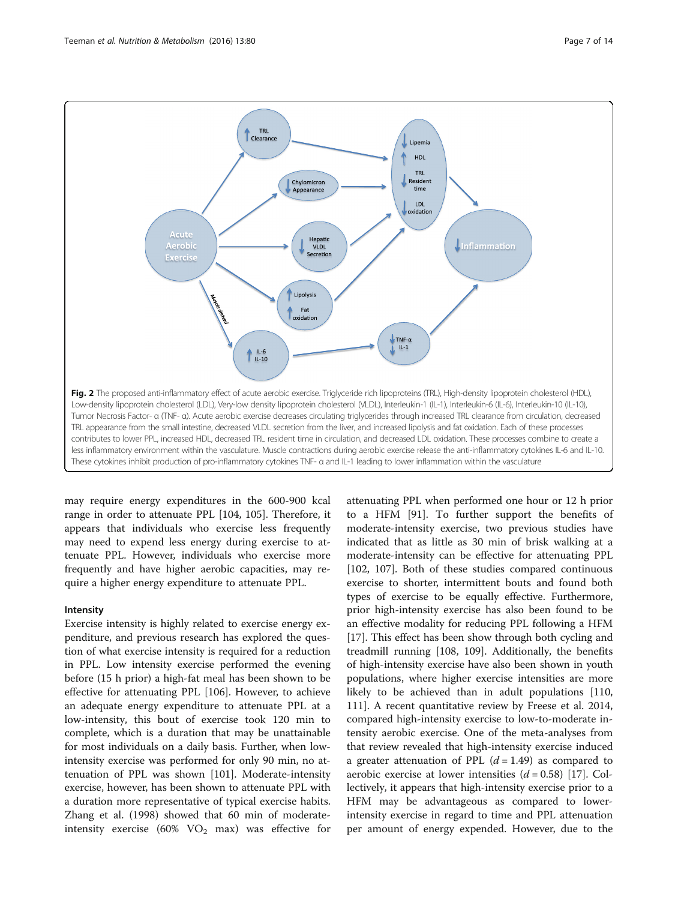<span id="page-6-0"></span>

may require energy expenditures in the 600-900 kcal range in order to attenuate PPL [\[104](#page-12-0), [105](#page-12-0)]. Therefore, it appears that individuals who exercise less frequently may need to expend less energy during exercise to attenuate PPL. However, individuals who exercise more frequently and have higher aerobic capacities, may require a higher energy expenditure to attenuate PPL.

#### Intensity

Exercise intensity is highly related to exercise energy expenditure, and previous research has explored the question of what exercise intensity is required for a reduction in PPL. Low intensity exercise performed the evening before (15 h prior) a high-fat meal has been shown to be effective for attenuating PPL [[106\]](#page-12-0). However, to achieve an adequate energy expenditure to attenuate PPL at a low-intensity, this bout of exercise took 120 min to complete, which is a duration that may be unattainable for most individuals on a daily basis. Further, when lowintensity exercise was performed for only 90 min, no attenuation of PPL was shown [[101\]](#page-12-0). Moderate-intensity exercise, however, has been shown to attenuate PPL with a duration more representative of typical exercise habits. Zhang et al. (1998) showed that 60 min of moderateintensity exercise (60%  $VO<sub>2</sub>$  max) was effective for attenuating PPL when performed one hour or 12 h prior to a HFM [\[91](#page-12-0)]. To further support the benefits of moderate-intensity exercise, two previous studies have indicated that as little as 30 min of brisk walking at a moderate-intensity can be effective for attenuating PPL [[102, 107\]](#page-12-0). Both of these studies compared continuous exercise to shorter, intermittent bouts and found both types of exercise to be equally effective. Furthermore, prior high-intensity exercise has also been found to be an effective modality for reducing PPL following a HFM [[17\]](#page-10-0). This effect has been show through both cycling and treadmill running [\[108, 109\]](#page-12-0). Additionally, the benefits of high-intensity exercise have also been shown in youth populations, where higher exercise intensities are more likely to be achieved than in adult populations [[110](#page-12-0), [111](#page-12-0)]. A recent quantitative review by Freese et al. 2014, compared high-intensity exercise to low-to-moderate intensity aerobic exercise. One of the meta-analyses from that review revealed that high-intensity exercise induced a greater attenuation of PPL  $(d = 1.49)$  as compared to aerobic exercise at lower intensities  $(d = 0.58)$  [[17\]](#page-10-0). Collectively, it appears that high-intensity exercise prior to a HFM may be advantageous as compared to lowerintensity exercise in regard to time and PPL attenuation per amount of energy expended. However, due to the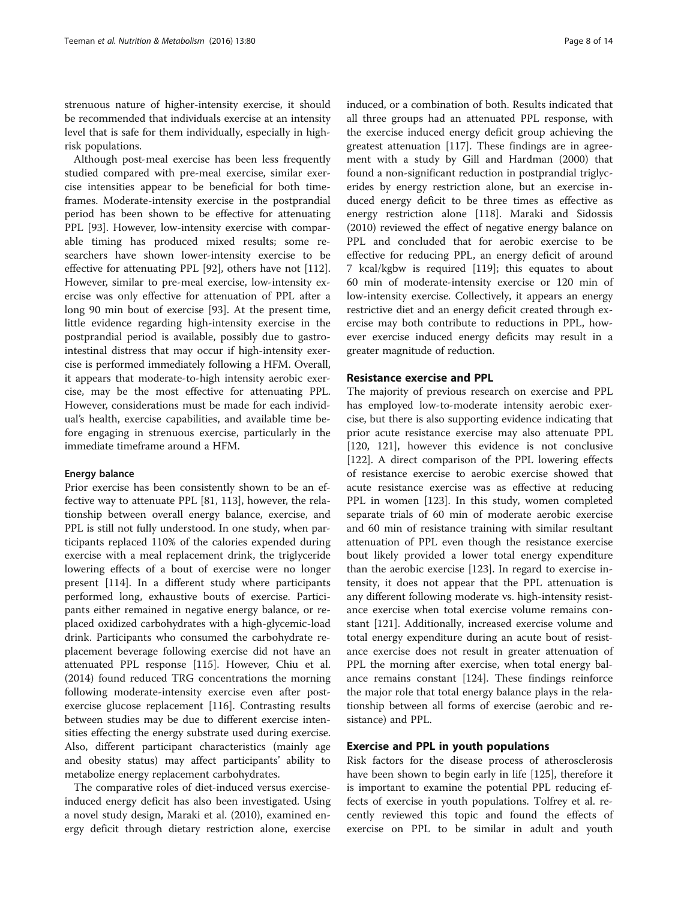strenuous nature of higher-intensity exercise, it should be recommended that individuals exercise at an intensity level that is safe for them individually, especially in highrisk populations.

Although post-meal exercise has been less frequently studied compared with pre-meal exercise, similar exercise intensities appear to be beneficial for both timeframes. Moderate-intensity exercise in the postprandial period has been shown to be effective for attenuating PPL [\[93](#page-12-0)]. However, low-intensity exercise with comparable timing has produced mixed results; some researchers have shown lower-intensity exercise to be effective for attenuating PPL [\[92\]](#page-12-0), others have not [\[112](#page-12-0)]. However, similar to pre-meal exercise, low-intensity exercise was only effective for attenuation of PPL after a long 90 min bout of exercise [\[93](#page-12-0)]. At the present time, little evidence regarding high-intensity exercise in the postprandial period is available, possibly due to gastrointestinal distress that may occur if high-intensity exercise is performed immediately following a HFM. Overall, it appears that moderate-to-high intensity aerobic exercise, may be the most effective for attenuating PPL. However, considerations must be made for each individual's health, exercise capabilities, and available time before engaging in strenuous exercise, particularly in the immediate timeframe around a HFM.

#### Energy balance

Prior exercise has been consistently shown to be an effective way to attenuate PPL [\[81](#page-11-0), [113](#page-12-0)], however, the relationship between overall energy balance, exercise, and PPL is still not fully understood. In one study, when participants replaced 110% of the calories expended during exercise with a meal replacement drink, the triglyceride lowering effects of a bout of exercise were no longer present [\[114](#page-12-0)]. In a different study where participants performed long, exhaustive bouts of exercise. Participants either remained in negative energy balance, or replaced oxidized carbohydrates with a high-glycemic-load drink. Participants who consumed the carbohydrate replacement beverage following exercise did not have an attenuated PPL response [[115](#page-12-0)]. However, Chiu et al. (2014) found reduced TRG concentrations the morning following moderate-intensity exercise even after postexercise glucose replacement [\[116](#page-12-0)]. Contrasting results between studies may be due to different exercise intensities effecting the energy substrate used during exercise. Also, different participant characteristics (mainly age and obesity status) may affect participants' ability to metabolize energy replacement carbohydrates.

The comparative roles of diet-induced versus exerciseinduced energy deficit has also been investigated. Using a novel study design, Maraki et al. (2010), examined energy deficit through dietary restriction alone, exercise induced, or a combination of both. Results indicated that all three groups had an attenuated PPL response, with the exercise induced energy deficit group achieving the greatest attenuation [[117](#page-12-0)]. These findings are in agreement with a study by Gill and Hardman (2000) that found a non-significant reduction in postprandial triglycerides by energy restriction alone, but an exercise induced energy deficit to be three times as effective as energy restriction alone [[118](#page-12-0)]. Maraki and Sidossis (2010) reviewed the effect of negative energy balance on PPL and concluded that for aerobic exercise to be effective for reducing PPL, an energy deficit of around 7 kcal/kgbw is required [\[119](#page-12-0)]; this equates to about 60 min of moderate-intensity exercise or 120 min of low-intensity exercise. Collectively, it appears an energy restrictive diet and an energy deficit created through exercise may both contribute to reductions in PPL, however exercise induced energy deficits may result in a greater magnitude of reduction.

# Resistance exercise and PPL

The majority of previous research on exercise and PPL has employed low-to-moderate intensity aerobic exercise, but there is also supporting evidence indicating that prior acute resistance exercise may also attenuate PPL [[120, 121](#page-12-0)], however this evidence is not conclusive [[122\]](#page-12-0). A direct comparison of the PPL lowering effects of resistance exercise to aerobic exercise showed that acute resistance exercise was as effective at reducing PPL in women [[123\]](#page-12-0). In this study, women completed separate trials of 60 min of moderate aerobic exercise and 60 min of resistance training with similar resultant attenuation of PPL even though the resistance exercise bout likely provided a lower total energy expenditure than the aerobic exercise [[123](#page-12-0)]. In regard to exercise intensity, it does not appear that the PPL attenuation is any different following moderate vs. high-intensity resistance exercise when total exercise volume remains constant [[121](#page-12-0)]. Additionally, increased exercise volume and total energy expenditure during an acute bout of resistance exercise does not result in greater attenuation of PPL the morning after exercise, when total energy balance remains constant [\[124](#page-12-0)]. These findings reinforce the major role that total energy balance plays in the relationship between all forms of exercise (aerobic and resistance) and PPL.

# Exercise and PPL in youth populations

Risk factors for the disease process of atherosclerosis have been shown to begin early in life [\[125\]](#page-12-0), therefore it is important to examine the potential PPL reducing effects of exercise in youth populations. Tolfrey et al. recently reviewed this topic and found the effects of exercise on PPL to be similar in adult and youth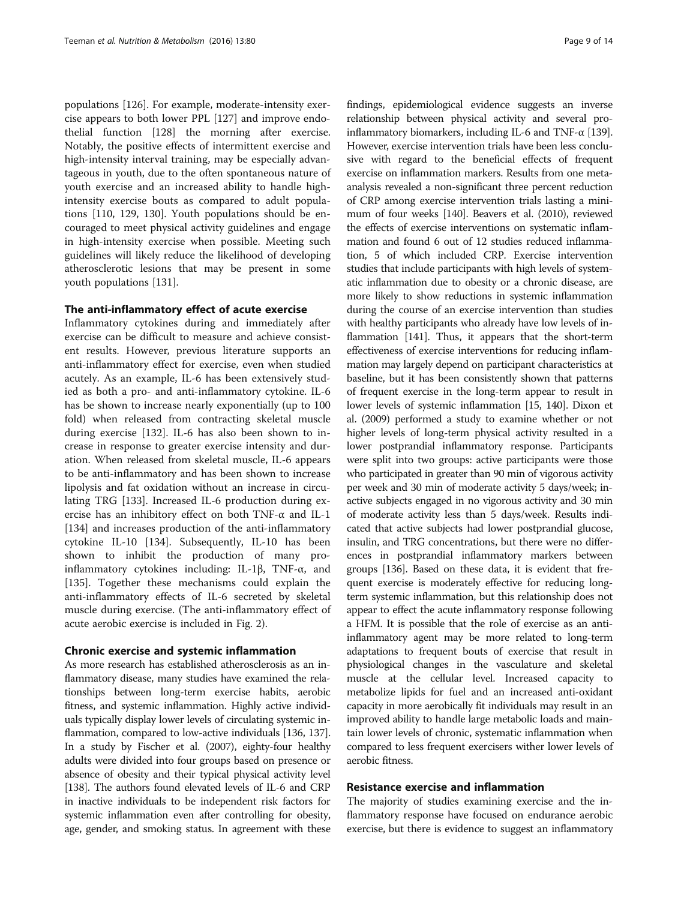populations [[126](#page-12-0)]. For example, moderate-intensity exercise appears to both lower PPL [[127\]](#page-12-0) and improve endothelial function [[128](#page-12-0)] the morning after exercise. Notably, the positive effects of intermittent exercise and high-intensity interval training, may be especially advantageous in youth, due to the often spontaneous nature of youth exercise and an increased ability to handle highintensity exercise bouts as compared to adult populations [\[110, 129, 130\]](#page-12-0). Youth populations should be encouraged to meet physical activity guidelines and engage in high-intensity exercise when possible. Meeting such guidelines will likely reduce the likelihood of developing atherosclerotic lesions that may be present in some youth populations [[131\]](#page-12-0).

# The anti-inflammatory effect of acute exercise

Inflammatory cytokines during and immediately after exercise can be difficult to measure and achieve consistent results. However, previous literature supports an anti-inflammatory effect for exercise, even when studied acutely. As an example, IL-6 has been extensively studied as both a pro- and anti-inflammatory cytokine. IL-6 has be shown to increase nearly exponentially (up to 100 fold) when released from contracting skeletal muscle during exercise [[132\]](#page-12-0). IL-6 has also been shown to increase in response to greater exercise intensity and duration. When released from skeletal muscle, IL-6 appears to be anti-inflammatory and has been shown to increase lipolysis and fat oxidation without an increase in circulating TRG [\[133\]](#page-12-0). Increased IL-6 production during exercise has an inhibitory effect on both TNF-α and IL-1 [[134\]](#page-12-0) and increases production of the anti-inflammatory cytokine IL-10 [[134](#page-12-0)]. Subsequently, IL-10 has been shown to inhibit the production of many proinflammatory cytokines including: IL-1β, TNF-α, and [[135\]](#page-12-0). Together these mechanisms could explain the anti-inflammatory effects of IL-6 secreted by skeletal muscle during exercise. (The anti-inflammatory effect of acute aerobic exercise is included in Fig. [2\)](#page-6-0).

# Chronic exercise and systemic inflammation

As more research has established atherosclerosis as an inflammatory disease, many studies have examined the relationships between long-term exercise habits, aerobic fitness, and systemic inflammation. Highly active individuals typically display lower levels of circulating systemic inflammation, compared to low-active individuals [[136](#page-12-0), [137](#page-13-0)]. In a study by Fischer et al. (2007), eighty-four healthy adults were divided into four groups based on presence or absence of obesity and their typical physical activity level [[138\]](#page-13-0). The authors found elevated levels of IL-6 and CRP in inactive individuals to be independent risk factors for systemic inflammation even after controlling for obesity, age, gender, and smoking status. In agreement with these

findings, epidemiological evidence suggests an inverse relationship between physical activity and several proinflammatory biomarkers, including IL-6 and TNF-α [\[139](#page-13-0)]. However, exercise intervention trials have been less conclusive with regard to the beneficial effects of frequent exercise on inflammation markers. Results from one metaanalysis revealed a non-significant three percent reduction of CRP among exercise intervention trials lasting a minimum of four weeks [\[140](#page-13-0)]. Beavers et al. (2010), reviewed the effects of exercise interventions on systematic inflammation and found 6 out of 12 studies reduced inflammation, 5 of which included CRP. Exercise intervention studies that include participants with high levels of systematic inflammation due to obesity or a chronic disease, are more likely to show reductions in systemic inflammation during the course of an exercise intervention than studies with healthy participants who already have low levels of inflammation [\[141\]](#page-13-0). Thus, it appears that the short-term effectiveness of exercise interventions for reducing inflammation may largely depend on participant characteristics at baseline, but it has been consistently shown that patterns of frequent exercise in the long-term appear to result in lower levels of systemic inflammation [\[15,](#page-10-0) [140](#page-13-0)]. Dixon et al. (2009) performed a study to examine whether or not higher levels of long-term physical activity resulted in a lower postprandial inflammatory response. Participants were split into two groups: active participants were those who participated in greater than 90 min of vigorous activity per week and 30 min of moderate activity 5 days/week; inactive subjects engaged in no vigorous activity and 30 min of moderate activity less than 5 days/week. Results indicated that active subjects had lower postprandial glucose, insulin, and TRG concentrations, but there were no differences in postprandial inflammatory markers between groups [\[136](#page-12-0)]. Based on these data, it is evident that frequent exercise is moderately effective for reducing longterm systemic inflammation, but this relationship does not appear to effect the acute inflammatory response following a HFM. It is possible that the role of exercise as an antiinflammatory agent may be more related to long-term adaptations to frequent bouts of exercise that result in physiological changes in the vasculature and skeletal muscle at the cellular level. Increased capacity to metabolize lipids for fuel and an increased anti-oxidant capacity in more aerobically fit individuals may result in an improved ability to handle large metabolic loads and maintain lower levels of chronic, systematic inflammation when compared to less frequent exercisers wither lower levels of aerobic fitness.

# Resistance exercise and inflammation

The majority of studies examining exercise and the inflammatory response have focused on endurance aerobic exercise, but there is evidence to suggest an inflammatory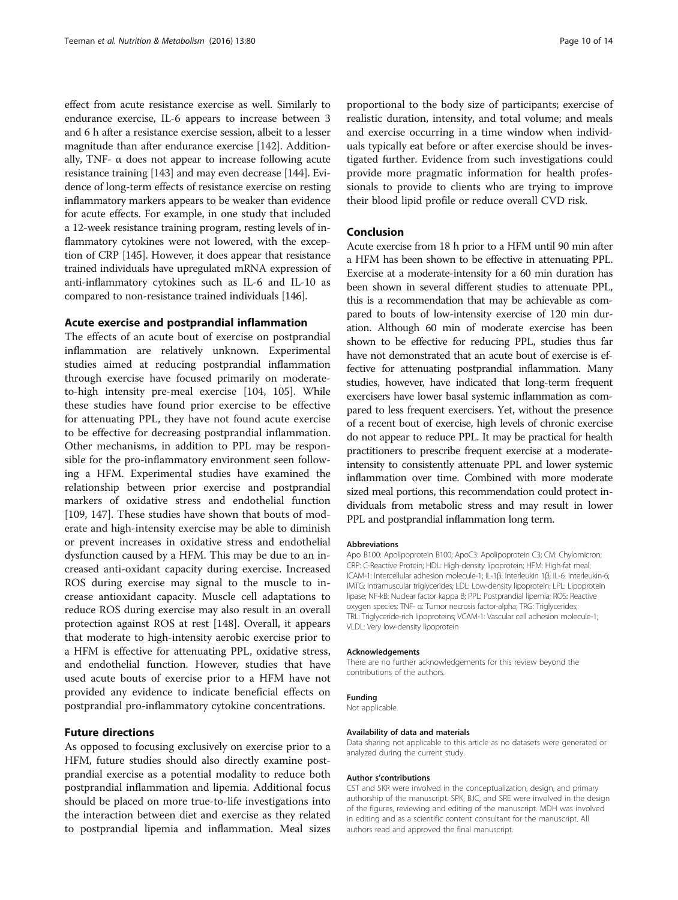effect from acute resistance exercise as well. Similarly to endurance exercise, IL-6 appears to increase between 3 and 6 h after a resistance exercise session, albeit to a lesser magnitude than after endurance exercise [[142\]](#page-13-0). Additionally, TNF- $\alpha$  does not appear to increase following acute resistance training [\[143\]](#page-13-0) and may even decrease [[144](#page-13-0)]. Evidence of long-term effects of resistance exercise on resting inflammatory markers appears to be weaker than evidence for acute effects. For example, in one study that included a 12-week resistance training program, resting levels of inflammatory cytokines were not lowered, with the exception of CRP [\[145\]](#page-13-0). However, it does appear that resistance trained individuals have upregulated mRNA expression of anti-inflammatory cytokines such as IL-6 and IL-10 as compared to non-resistance trained individuals [[146](#page-13-0)].

# Acute exercise and postprandial inflammation

The effects of an acute bout of exercise on postprandial inflammation are relatively unknown. Experimental studies aimed at reducing postprandial inflammation through exercise have focused primarily on moderateto-high intensity pre-meal exercise [\[104, 105\]](#page-12-0). While these studies have found prior exercise to be effective for attenuating PPL, they have not found acute exercise to be effective for decreasing postprandial inflammation. Other mechanisms, in addition to PPL may be responsible for the pro-inflammatory environment seen following a HFM. Experimental studies have examined the relationship between prior exercise and postprandial markers of oxidative stress and endothelial function [[109,](#page-12-0) [147\]](#page-13-0). These studies have shown that bouts of moderate and high-intensity exercise may be able to diminish or prevent increases in oxidative stress and endothelial dysfunction caused by a HFM. This may be due to an increased anti-oxidant capacity during exercise. Increased ROS during exercise may signal to the muscle to increase antioxidant capacity. Muscle cell adaptations to reduce ROS during exercise may also result in an overall protection against ROS at rest [[148](#page-13-0)]. Overall, it appears that moderate to high-intensity aerobic exercise prior to a HFM is effective for attenuating PPL, oxidative stress, and endothelial function. However, studies that have used acute bouts of exercise prior to a HFM have not provided any evidence to indicate beneficial effects on postprandial pro-inflammatory cytokine concentrations.

# Future directions

As opposed to focusing exclusively on exercise prior to a HFM, future studies should also directly examine postprandial exercise as a potential modality to reduce both postprandial inflammation and lipemia. Additional focus should be placed on more true-to-life investigations into the interaction between diet and exercise as they related to postprandial lipemia and inflammation. Meal sizes

proportional to the body size of participants; exercise of realistic duration, intensity, and total volume; and meals and exercise occurring in a time window when individuals typically eat before or after exercise should be investigated further. Evidence from such investigations could provide more pragmatic information for health professionals to provide to clients who are trying to improve their blood lipid profile or reduce overall CVD risk.

# Conclusion

Acute exercise from 18 h prior to a HFM until 90 min after a HFM has been shown to be effective in attenuating PPL. Exercise at a moderate-intensity for a 60 min duration has been shown in several different studies to attenuate PPL, this is a recommendation that may be achievable as compared to bouts of low-intensity exercise of 120 min duration. Although 60 min of moderate exercise has been shown to be effective for reducing PPL, studies thus far have not demonstrated that an acute bout of exercise is effective for attenuating postprandial inflammation. Many studies, however, have indicated that long-term frequent exercisers have lower basal systemic inflammation as compared to less frequent exercisers. Yet, without the presence of a recent bout of exercise, high levels of chronic exercise do not appear to reduce PPL. It may be practical for health practitioners to prescribe frequent exercise at a moderateintensity to consistently attenuate PPL and lower systemic inflammation over time. Combined with more moderate sized meal portions, this recommendation could protect individuals from metabolic stress and may result in lower PPL and postprandial inflammation long term.

#### Abbreviations

Apo B100: Apolipoprotein B100; ApoC3: Apolipoprotein C3; CM: Chylomicron; CRP: C-Reactive Protein; HDL: High-density lipoprotein; HFM: High-fat meal; ICAM-1: Intercellular adhesion molecule-1; IL-1β: Interleukin 1β; IL-6: Interleukin-6; IMTG: Intramuscular triglycerides; LDL: Low-density lipoprotein; LPL: Lipoprotein lipase; NF-kB: Nuclear factor kappa B; PPL: Postprandial lipemia; ROS: Reactive oxygen species; TNF- α: Tumor necrosis factor-alpha; TRG: Triglycerides; TRL: Triglyceride-rich lipoproteins; VCAM-1: Vascular cell adhesion molecule-1; VLDL: Very low-density lipoprotein

#### Acknowledgements

There are no further acknowledgements for this review beyond the contributions of the authors.

#### Funding

Not applicable.

#### Availability of data and materials

Data sharing not applicable to this article as no datasets were generated or analyzed during the current study.

#### Author s'contributions

CST and SKR were involved in the conceptualization, design, and primary authorship of the manuscript. SPK, BJC, and SRE were involved in the design of the figures, reviewing and editing of the manuscript. MDH was involved in editing and as a scientific content consultant for the manuscript. All authors read and approved the final manuscript.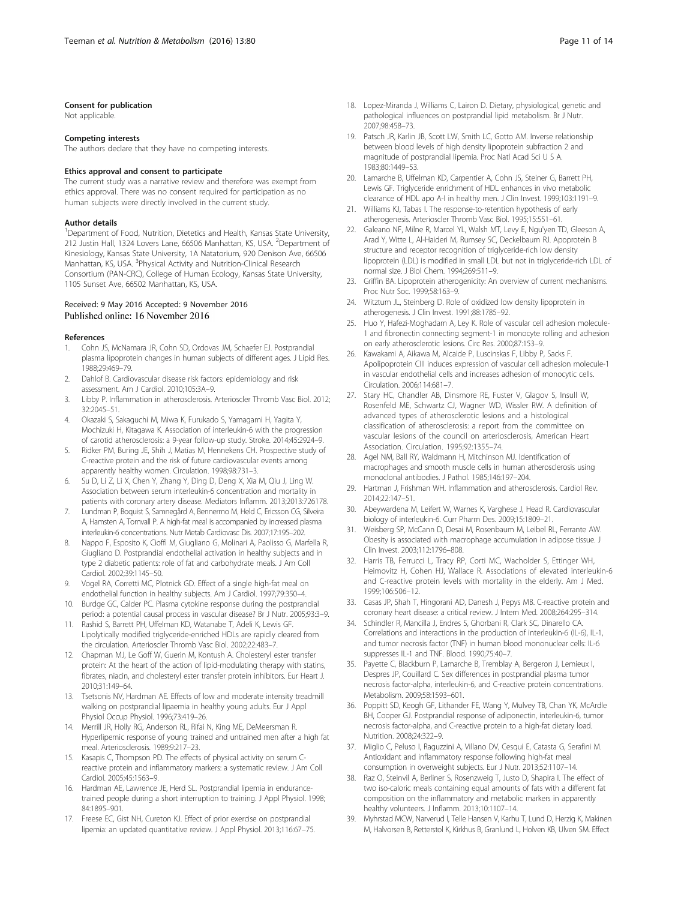#### <span id="page-10-0"></span>Consent for publication

Not applicable.

#### Competing interests

The authors declare that they have no competing interests.

#### Ethics approval and consent to participate

The current study was a narrative review and therefore was exempt from ethics approval. There was no consent required for participation as no human subjects were directly involved in the current study.

#### Author details

<sup>1</sup>Department of Food, Nutrition, Dietetics and Health, Kansas State University, 212 Justin Hall, 1324 Lovers Lane, 66506 Manhattan, KS, USA. <sup>2</sup>Department of Kinesiology, Kansas State University, 1A Natatorium, 920 Denison Ave, 66506 Manhattan, KS, USA. <sup>3</sup>Physical Activity and Nutrition-Clinical Research Consortium (PAN-CRC), College of Human Ecology, Kansas State University, 1105 Sunset Ave, 66502 Manhattan, KS, USA.

#### Received: 9 May 2016 Accepted: 9 November 2016 Published online: 16 November 2016

#### References

- 1. Cohn JS, McNamara JR, Cohn SD, Ordovas JM, Schaefer EJ. Postprandial plasma lipoprotein changes in human subjects of different ages. J Lipid Res. 1988;29:469–79.
- 2. Dahlof B. Cardiovascular disease risk factors: epidemiology and risk assessment. Am J Cardiol. 2010;105:3A–9.
- Libby P. Inflammation in atherosclerosis. Arterioscler Thromb Vasc Biol. 2012; 32:2045–51.
- 4. Okazaki S, Sakaguchi M, Miwa K, Furukado S, Yamagami H, Yagita Y, Mochizuki H, Kitagawa K. Association of interleukin-6 with the progression of carotid atherosclerosis: a 9-year follow-up study. Stroke. 2014;45:2924–9.
- 5. Ridker PM, Buring JE, Shih J, Matias M, Hennekens CH. Prospective study of C-reactive protein and the risk of future cardiovascular events among apparently healthy women. Circulation. 1998;98:731–3.
- 6. Su D, Li Z, Li X, Chen Y, Zhang Y, Ding D, Deng X, Xia M, Qiu J, Ling W. Association between serum interleukin-6 concentration and mortality in patients with coronary artery disease. Mediators Inflamm. 2013;2013:726178.
- 7. Lundman P, Boquist S, Samnegård A, Bennermo M, Held C, Ericsson CG, Silveira A, Hamsten A, Tornvall P. A high-fat meal is accompanied by increased plasma interleukin-6 concentrations. Nutr Metab Cardiovasc Dis. 2007;17:195–202.
- 8. Nappo F, Esposito K, Cioffi M, Giugliano G, Molinari A, Paolisso G, Marfella R, Giugliano D. Postprandial endothelial activation in healthy subjects and in type 2 diabetic patients: role of fat and carbohydrate meals. J Am Coll Cardiol. 2002;39:1145–50.
- 9. Vogel RA, Corretti MC, Plotnick GD. Effect of a single high-fat meal on endothelial function in healthy subjects. Am J Cardiol. 1997;79:350–4.
- 10. Burdge GC, Calder PC. Plasma cytokine response during the postprandial period: a potential causal process in vascular disease? Br J Nutr. 2005;93:3–9.
- 11. Rashid S, Barrett PH, Uffelman KD, Watanabe T, Adeli K, Lewis GF. Lipolytically modified triglyceride-enriched HDLs are rapidly cleared from the circulation. Arterioscler Thromb Vasc Biol. 2002;22:483–7.
- 12. Chapman MJ, Le Goff W, Guerin M, Kontush A. Cholesteryl ester transfer protein: At the heart of the action of lipid-modulating therapy with statins, fibrates, niacin, and cholesteryl ester transfer protein inhibitors. Eur Heart J. 2010;31:149–64.
- 13. Tsetsonis NV, Hardman AE. Effects of low and moderate intensity treadmill walking on postprandial lipaemia in healthy young adults. Eur J Appl Physiol Occup Physiol. 1996;73:419–26.
- 14. Merrill JR, Holly RG, Anderson RL, Rifai N, King ME, DeMeersman R. Hyperlipemic response of young trained and untrained men after a high fat meal. Arteriosclerosis. 1989;9:217–23.
- 15. Kasapis C, Thompson PD. The effects of physical activity on serum Creactive protein and inflammatory markers: a systematic review. J Am Coll Cardiol. 2005;45:1563–9.
- 16. Hardman AE, Lawrence JE, Herd SL. Postprandial lipemia in endurancetrained people during a short interruption to training. J Appl Physiol. 1998; 84:1895–901.
- 17. Freese EC, Gist NH, Cureton KJ. Effect of prior exercise on postprandial lipemia: an updated quantitative review. J Appl Physiol. 2013;116:67–75.
- 
- 18. Lopez-Miranda J, Williams C, Lairon D. Dietary, physiological, genetic and pathological influences on postprandial lipid metabolism. Br J Nutr. 2007;98:458–73.
- 19. Patsch JR, Karlin JB, Scott LW, Smith LC, Gotto AM. Inverse relationship between blood levels of high density lipoprotein subfraction 2 and magnitude of postprandial lipemia. Proc Natl Acad Sci U S A. 1983;80:1449–53.
- 20. Lamarche B, Uffelman KD, Carpentier A, Cohn JS, Steiner G, Barrett PH, Lewis GF. Triglyceride enrichment of HDL enhances in vivo metabolic clearance of HDL apo A-I in healthy men. J Clin Invest. 1999;103:1191–9.
- 21. Williams KJ, Tabas I. The response-to-retention hypothesis of early atherogenesis. Arterioscler Thromb Vasc Biol. 1995;15:551–61.
- 22. Galeano NF, Milne R, Marcel YL, Walsh MT, Levy E, Ngu'yen TD, Gleeson A, Arad Y, Witte L, Al-Haideri M, Rumsey SC, Deckelbaum RJ. Apoprotein B structure and receptor recognition of triglyceride-rich low density lipoprotein (LDL) is modified in small LDL but not in triglyceride-rich LDL of normal size. J Biol Chem. 1994;269:511–9.
- 23. Griffin BA. Lipoprotein atherogenicity: An overview of current mechanisms. Proc Nutr Soc. 1999;58:163–9.
- 24. Witztum JL, Steinberg D. Role of oxidized low density lipoprotein in atherogenesis. J Clin Invest. 1991;88:1785–92.
- 25. Huo Y, Hafezi-Moghadam A, Ley K. Role of vascular cell adhesion molecule-1 and fibronectin connecting segment-1 in monocyte rolling and adhesion on early atherosclerotic lesions. Circ Res. 2000;87:153–9.
- 26. Kawakami A, Aikawa M, Alcaide P, Luscinskas F, Libby P, Sacks F. Apolipoprotein CIII induces expression of vascular cell adhesion molecule-1 in vascular endothelial cells and increases adhesion of monocytic cells. Circulation. 2006;114:681–7.
- 27. Stary HC, Chandler AB, Dinsmore RE, Fuster V, Glagov S, Insull W, Rosenfeld ME, Schwartz CJ, Wagner WD, Wissler RW. A definition of advanced types of atherosclerotic lesions and a histological classification of atherosclerosis: a report from the committee on vascular lesions of the council on arteriosclerosis, American Heart Association. Circulation. 1995;92:1355–74.
- 28. Agel NM, Ball RY, Waldmann H, Mitchinson MJ. Identification of macrophages and smooth muscle cells in human atherosclerosis using monoclonal antibodies. J Pathol. 1985;146:197–204.
- 29. Hartman J, Frishman WH. Inflammation and atherosclerosis. Cardiol Rev. 2014;22:147–51.
- 30. Abeywardena M, Leifert W, Warnes K, Varghese J, Head R. Cardiovascular biology of interleukin-6. Curr Pharm Des. 2009;15:1809–21.
- 31. Weisberg SP, McCann D, Desai M, Rosenbaum M, Leibel RL, Ferrante AW. Obesity is associated with macrophage accumulation in adipose tissue. J Clin Invest. 2003;112:1796–808.
- 32. Harris TB, Ferrucci L, Tracy RP, Corti MC, Wacholder S, Ettinger WH, Heimovitz H, Cohen HJ, Wallace R. Associations of elevated interleukin-6 and C-reactive protein levels with mortality in the elderly. Am J Med. 1999;106:506–12.
- 33. Casas JP, Shah T, Hingorani AD, Danesh J, Pepys MB. C-reactive protein and coronary heart disease: a critical review. J Intern Med. 2008;264:295–314.
- 34. Schindler R, Mancilla J, Endres S, Ghorbani R, Clark SC, Dinarello CA. Correlations and interactions in the production of interleukin-6 (IL-6), IL-1, and tumor necrosis factor (TNF) in human blood mononuclear cells: IL-6 suppresses IL-1 and TNF. Blood. 1990;75:40–7.
- 35. Payette C, Blackburn P, Lamarche B, Tremblay A, Bergeron J, Lemieux I, Despres JP, Couillard C. Sex differences in postprandial plasma tumor necrosis factor-alpha, interleukin-6, and C-reactive protein concentrations. Metabolism. 2009;58:1593–601.
- 36. Poppitt SD, Keogh GF, Lithander FE, Wang Y, Mulvey TB, Chan YK, McArdle BH, Cooper GJ. Postprandial response of adiponectin, interleukin-6, tumor necrosis factor-alpha, and C-reactive protein to a high-fat dietary load. Nutrition. 2008;24:322–9.
- 37. Miglio C, Peluso I, Raguzzini A, Villano DV, Cesqui E, Catasta G, Serafini M. Antioxidant and inflammatory response following high-fat meal consumption in overweight subjects. Eur J Nutr. 2013;52:1107–14.
- 38. Raz O, Steinvil A, Berliner S, Rosenzweig T, Justo D, Shapira I. The effect of two iso-caloric meals containing equal amounts of fats with a different fat composition on the inflammatory and metabolic markers in apparently healthy volunteers. J Inflamm. 2013;10:1107–14.
- 39. Myhrstad MCW, Narverud I, Telle Hansen V, Karhu T, Lund D, Herzig K, Makinen M, Halvorsen B, Retterstol K, Kirkhus B, Granlund L, Holven KB, Ulven SM. Effect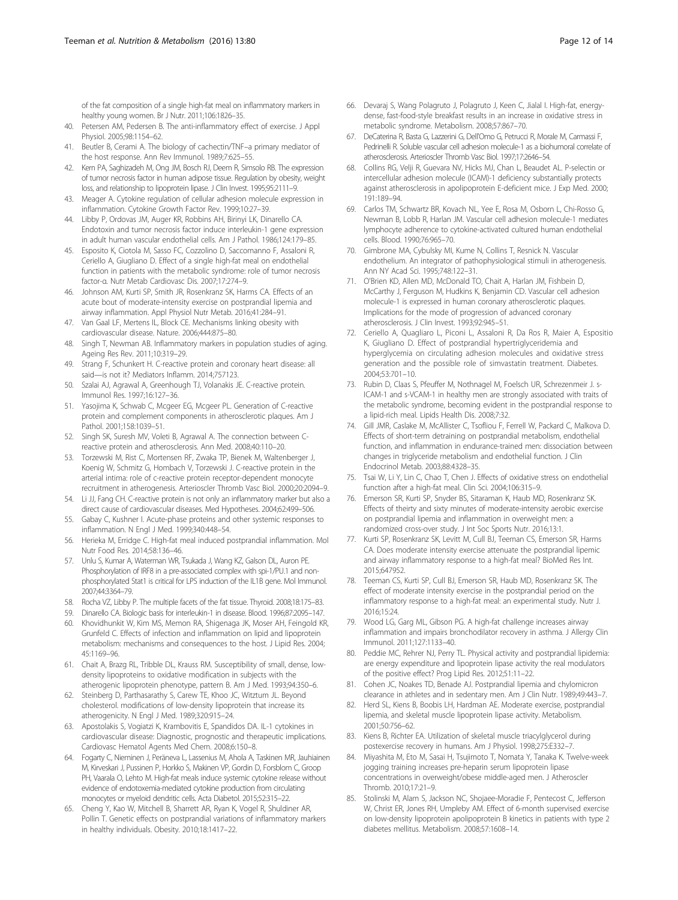<span id="page-11-0"></span>of the fat composition of a single high-fat meal on inflammatory markers in healthy young women. Br J Nutr. 2011;106:1826–35.

- 40. Petersen AM, Pedersen B. The anti-inflammatory effect of exercise. J Appl Physiol. 2005;98:1154–62.
- 41. Beutler B, Cerami A. The biology of cachectin/TNF–a primary mediator of the host response. Ann Rev Immunol. 1989;7:625–55.
- 42. Kern PA, Saghizadeh M, Ong JM, Bosch RJ, Deem R, Simsolo RB. The expression of tumor necrosis factor in human adipose tissue. Regulation by obesity, weight loss, and relationship to lipoprotein lipase. J Clin Invest. 1995;95:2111–9.
- 43. Meager A. Cytokine regulation of cellular adhesion molecule expression in inflammation. Cytokine Growth Factor Rev. 1999;10:27–39.
- 44. Libby P, Ordovas JM, Auger KR, Robbins AH, Birinyi LK, Dinarello CA. Endotoxin and tumor necrosis factor induce interleukin-1 gene expression in adult human vascular endothelial cells. Am J Pathol. 1986;124:179–85.
- 45. Esposito K, Ciotola M, Sasso FC, Cozzolino D, Saccomanno F, Assaloni R, Ceriello A, Giugliano D. Effect of a single high-fat meal on endothelial function in patients with the metabolic syndrome: role of tumor necrosis factor-α. Nutr Metab Cardiovasc Dis. 2007;17:274–9.
- 46. Johnson AM, Kurti SP, Smith JR, Rosenkranz SK, Harms CA. Effects of an acute bout of moderate-intensity exercise on postprandial lipemia and airway inflammation. Appl Physiol Nutr Metab. 2016;41:284–91.
- 47. Van Gaal LF, Mertens IL, Block CE. Mechanisms linking obesity with cardiovascular disease. Nature. 2006;444:875–80.
- 48. Singh T, Newman AB. Inflammatory markers in population studies of aging. Ageing Res Rev. 2011;10:319–29.
- 49. Strang F, Schunkert H. C-reactive protein and coronary heart disease: all said—is not it? Mediators Inflamm. 2014;757123.
- 50. Szalai AJ, Agrawal A, Greenhough TJ, Volanakis JE. C-reactive protein. Immunol Res. 1997;16:127–36.
- 51. Yasojima K, Schwab C, Mcgeer EG, Mcgeer PL. Generation of C-reactive protein and complement components in atherosclerotic plaques. Am J Pathol. 2001;158:1039–51.
- 52. Singh SK, Suresh MV, Voleti B, Agrawal A. The connection between Creactive protein and atherosclerosis. Ann Med. 2008;40:110–20.
- 53. Torzewski M, Rist C, Mortensen RF, Zwaka TP, Bienek M, Waltenberger J, Koenig W, Schmitz G, Hombach V, Torzewski J. C-reactive protein in the arterial intima: role of c-reactive protein receptor-dependent monocyte recruitment in atherogenesis. Arterioscler Thromb Vasc Biol. 2000;20:2094–9.
- 54. Li JJ, Fang CH. C-reactive protein is not only an inflammatory marker but also a direct cause of cardiovascular diseases. Med Hypotheses. 2004;62:499–506.
- 55. Gabay C, Kushner I. Acute-phase proteins and other systemic responses to inflammation. N Engl J Med. 1999;340:448–54.
- 56. Herieka M, Erridge C. High-fat meal induced postprandial inflammation. Mol Nutr Food Res. 2014;58:136–46.
- 57. Unlu S, Kumar A, Waterman WR, Tsukada J, Wang KZ, Galson DL, Auron PE. Phosphorylation of IRF8 in a pre-associated complex with spi-1/PU.1 and nonphosphorylated Stat1 is critical for LPS induction of the IL1B gene. Mol Immunol. 2007;44:3364–79.
- 58. Rocha VZ, Libby P. The multiple facets of the fat tissue. Thyroid. 2008;18:175–83.
- 59. Dinarello CA. Biologic basis for interleukin-1 in disease. Blood. 1996;87:2095–147. 60. Khovidhunkit W, Kim MS, Memon RA, Shigenaga JK, Moser AH, Feingold KR,
- Grunfeld C. Effects of infection and inflammation on lipid and lipoprotein metabolism: mechanisms and consequences to the host. J Lipid Res. 2004; 45:1169–96.
- 61. Chait A, Brazg RL, Tribble DL, Krauss RM. Susceptibility of small, dense, lowdensity lipoproteins to oxidative modification in subjects with the atherogenic lipoprotein phenotype, pattern B. Am J Med. 1993;94:350–6.
- 62. Steinberg D, Parthasarathy S, Carew TE, Khoo JC, Witztum JL. Beyond cholesterol. modifications of low-density lipoprotein that increase its atherogenicity. N Engl J Med. 1989;320:915–24.
- 63. Apostolakis S, Vogiatzi K, Krambovitis E, Spandidos DA. IL-1 cytokines in cardiovascular disease: Diagnostic, prognostic and therapeutic implications. Cardiovasc Hematol Agents Med Chem. 2008;6:150–8.
- 64. Fogarty C, Nieminen J, Peräneva L, Lassenius M, Ahola A, Taskinen MR, Jauhiainen M, Kirveskari J, Pussinen P, Horkko S, Makinen VP, Gordin D, Forsblom C, Groop PH, Vaarala O, Lehto M. High-fat meals induce systemic cytokine release without evidence of endotoxemia-mediated cytokine production from circulating monocytes or myeloid dendritic cells. Acta Diabetol. 2015;52:315–22.
- 65. Cheng Y, Kao W, Mitchell B, Sharrett AR, Ryan K, Vogel R, Shuldiner AR, Pollin T. Genetic effects on postprandial variations of inflammatory markers in healthy individuals. Obesity. 2010;18:1417–22.
- 66. Devaraj S, Wang Polagruto J, Polagruto J, Keen C, Jialal I. High-fat, energydense, fast-food-style breakfast results in an increase in oxidative stress in metabolic syndrome. Metabolism. 2008;57:867–70.
- 67. DeCaterina R, Basta G, Lazzerini G, Dell'Omo G, Petrucci R, Morale M, Carmassi F, Pedrinelli R. Soluble vascular cell adhesion molecule-1 as a biohumoral correlate of atherosclerosis. Arterioscler Thromb Vasc Biol. 1997;17:2646–54.
- Collins RG, Velji R, Guevara NV, Hicks MJ, Chan L, Beaudet AL. P-selectin or intercellular adhesion molecule (ICAM)-1 deficiency substantially protects against atherosclerosis in apolipoprotein E-deficient mice. J Exp Med. 2000; 191:189–94.
- 69. Carlos TM, Schwartz BR, Kovach NL, Yee E, Rosa M, Osborn L, Chi-Rosso G, Newman B, Lobb R, Harlan JM. Vascular cell adhesion molecule-1 mediates lymphocyte adherence to cytokine-activated cultured human endothelial cells. Blood. 1990;76:965–70.
- 70. Gimbrone MA, Cybulsky MI, Kume N, Collins T, Resnick N. Vascular endothelium. An integrator of pathophysiological stimuli in atherogenesis. Ann NY Acad Sci. 1995;748:122–31.
- 71. O'Brien KD, Allen MD, McDonald TO, Chait A, Harlan JM, Fishbein D, McCarthy J, Ferguson M, Hudkins K, Benjamin CD. Vascular cell adhesion molecule-1 is expressed in human coronary atherosclerotic plaques. Implications for the mode of progression of advanced coronary atherosclerosis. J Clin Invest. 1993;92:945–51.
- 72. Ceriello A, Quagliaro L, Piconi L, Assaloni R, Da Ros R, Maier A, Espositio K, Giugliano D. Effect of postprandial hypertriglyceridemia and hyperglycemia on circulating adhesion molecules and oxidative stress generation and the possible role of simvastatin treatment. Diabetes. 2004;53:701–10.
- 73. Rubin D, Claas S, Pfeuffer M, Nothnagel M, Foelsch UR, Schrezenmeir J. s-ICAM-1 and s-VCAM-1 in healthy men are strongly associated with traits of the metabolic syndrome, becoming evident in the postprandial response to a lipid-rich meal. Lipids Health Dis. 2008;7:32.
- 74. Gill JMR, Caslake M, McAllister C, Tsofliou F, Ferrell W, Packard C, Malkova D. Effects of short-term detraining on postprandial metabolism, endothelial function, and inflammation in endurance-trained men: dissociation between changes in triglyceride metabolism and endothelial function. J Clin Endocrinol Metab. 2003;88:4328–35.
- 75. Tsai W, Li Y, Lin C, Chao T, Chen J. Effects of oxidative stress on endothelial function after a high-fat meal. Clin Sci. 2004;106:315–9.
- 76. Emerson SR, Kurti SP, Snyder BS, Sitaraman K, Haub MD, Rosenkranz SK. Effects of theirty and sixty minutes of moderate-intensity aerobic exercise on postprandial lipemia and inflammation in overweight men: a randomized cross-over study. J Int Soc Sports Nutr. 2016;13:1.
- 77. Kurti SP, Rosenkranz SK, Levitt M, Cull BJ, Teeman CS, Emerson SR, Harms CA. Does moderate intensity exercise attenuate the postprandial lipemic and airway inflammatory response to a high-fat meal? BioMed Res Int. 2015;647952.
- 78. Teeman CS, Kurti SP, Cull BJ, Emerson SR, Haub MD, Rosenkranz SK. The effect of moderate intensity exercise in the postprandial period on the inflammatory response to a high-fat meal: an experimental study. Nutr J. 2016;15:24.
- 79. Wood LG, Garg ML, Gibson PG. A high-fat challenge increases airway inflammation and impairs bronchodilator recovery in asthma. J Allergy Clin Immunol. 2011;127:1133–40.
- 80. Peddie MC, Rehrer NJ, Perry TL. Physical activity and postprandial lipidemia: are energy expenditure and lipoprotein lipase activity the real modulators of the positive effect? Prog Lipid Res. 2012;51:11–22.
- 81. Cohen JC, Noakes TD, Benade AJ. Postprandial lipemia and chylomicron clearance in athletes and in sedentary men. Am J Clin Nutr. 1989;49:443–7.
- 82. Herd SL, Kiens B, Boobis LH, Hardman AE. Moderate exercise, postprandial lipemia, and skeletal muscle lipoprotein lipase activity. Metabolism. 2001;50:756–62.
- 83. Kiens B, Richter EA. Utilization of skeletal muscle triacylglycerol during postexercise recovery in humans. Am J Physiol. 1998;275:E332–7.
- 84. Miyashita M, Eto M, Sasai H, Tsujimoto T, Nomata Y, Tanaka K. Twelve-week jogging training increases pre-heparin serum lipoprotein lipase concentrations in overweight/obese middle-aged men. J Atheroscler Thromb. 2010;17:21–9.
- Stolinski M, Alam S, Jackson NC, Shojaee-Moradie F, Pentecost C, Jefferson W, Christ ER, Jones RH, Umpleby AM. Effect of 6-month supervised exercise on low-density lipoprotein apolipoprotein B kinetics in patients with type 2 diabetes mellitus. Metabolism. 2008;57:1608–14.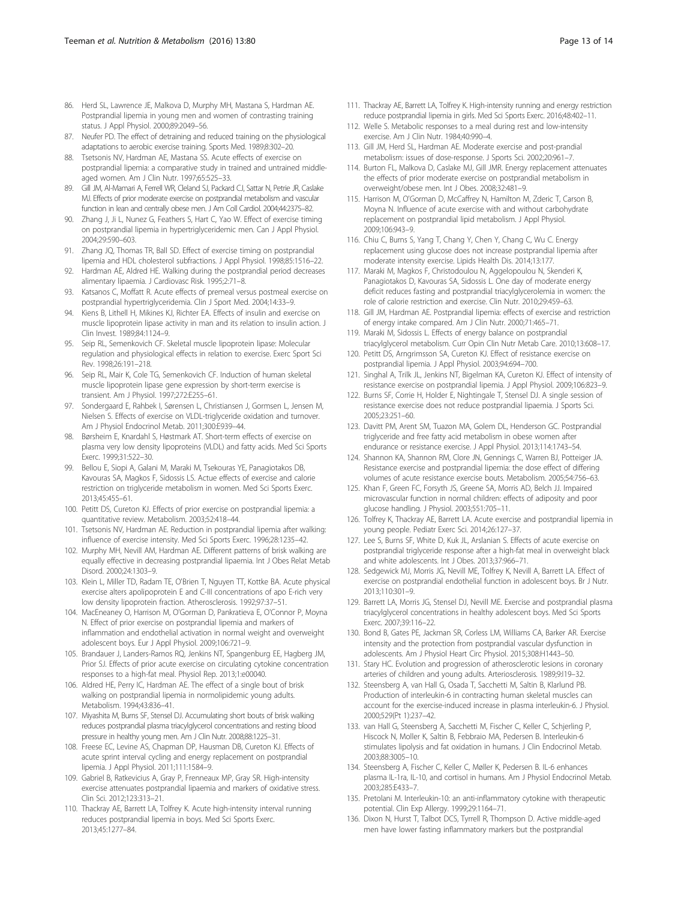- <span id="page-12-0"></span>86. Herd SL, Lawrence JE, Malkova D, Murphy MH, Mastana S, Hardman AE. Postprandial lipemia in young men and women of contrasting training status. J Appl Physiol. 2000;89:2049–56.
- 87. Neufer PD. The effect of detraining and reduced training on the physiological adaptations to aerobic exercise training. Sports Med. 1989;8:302–20.
- 88. Tsetsonis NV, Hardman AE, Mastana SS. Acute effects of exercise on postprandial lipemia: a comparative study in trained and untrained middleaged women. Am J Clin Nutr. 1997;65:525–33.
- 89. Gill JM, Al-Mamari A, Ferrell WR, Cleland SJ, Packard CJ, Sattar N, Petrie JR, Caslake MJ. Effects of prior moderate exercise on postprandial metabolism and vascular function in lean and centrally obese men. J Am Coll Cardiol. 2004;44:2375–82.
- 90. Zhang J, Ji L, Nunez G, Feathers S, Hart C, Yao W. Effect of exercise timing on postprandial lipemia in hypertriglyceridemic men. Can J Appl Physiol. 2004;29:590–603.
- 91. Zhang JQ, Thomas TR, Ball SD. Effect of exercise timing on postprandial lipemia and HDL cholesterol subfractions. J Appl Physiol. 1998;85:1516–22.
- 92. Hardman AE, Aldred HE. Walking during the postprandial period decreases alimentary lipaemia. J Cardiovasc Risk. 1995;2:71–8.
- 93. Katsanos C, Moffatt R. Acute effects of premeal versus postmeal exercise on postprandial hypertriglyceridemia. Clin J Sport Med. 2004;14:33–9.
- 94. Kiens B, Lithell H, Mikines KJ, Richter EA. Effects of insulin and exercise on muscle lipoprotein lipase activity in man and its relation to insulin action. J Clin Invest. 1989;84:1124–9.
- 95. Seip RL, Semenkovich CF. Skeletal muscle lipoprotein lipase: Molecular regulation and physiological effects in relation to exercise. Exerc Sport Sci Rev. 1998;26:191–218.
- 96. Seip RL, Mair K, Cole TG, Semenkovich CF. Induction of human skeletal muscle lipoprotein lipase gene expression by short-term exercise is transient. Am J Physiol. 1997;272:E255–61.
- 97. Sondergaard E, Rahbek I, Sørensen L, Christiansen J, Gormsen L, Jensen M, Nielsen S. Effects of exercise on VLDL-triglyceride oxidation and turnover. Am J Physiol Endocrinol Metab. 2011;300:E939–44.
- 98. Børsheim E, Knardahl S, Høstmark AT. Short-term effects of exercise on plasma very low density lipoproteins (VLDL) and fatty acids. Med Sci Sports Exerc. 1999;31:522–30.
- 99. Bellou E, Siopi A, Galani M, Maraki M, Tsekouras YE, Panagiotakos DB, Kavouras SA, Magkos F, Sidossis LS. Actue effects of exercise and calorie restriction on triglyceride metabolism in women. Med Sci Sports Exerc. 2013;45:455–61.
- 100. Petitt DS, Cureton KJ. Effects of prior exercise on postprandial lipemia: a quantitative review. Metabolism. 2003;52:418–44.
- 101. Tsetsonis NV, Hardman AE. Reduction in postprandial lipemia after walking: influence of exercise intensity. Med Sci Sports Exerc. 1996;28:1235–42.
- 102. Murphy MH, Nevill AM, Hardman AE. Different patterns of brisk walking are equally effective in decreasing postprandial lipaemia. Int J Obes Relat Metab Disord. 2000;24:1303–9.
- 103. Klein L, Miller TD, Radam TE, O'Brien T, Nguyen TT, Kottke BA. Acute physical exercise alters apolipoprotein E and C-III concentrations of apo E-rich very low density lipoprotein fraction. Atherosclerosis. 1992;97:37–51.
- 104. MacEneaney O, Harrison M, O'Gorman D, Pankratieva E, O'Connor P, Moyna N. Effect of prior exercise on postprandial lipemia and markers of inflammation and endothelial activation in normal weight and overweight adolescent boys. Eur J Appl Physiol. 2009;106:721–9.
- 105. Brandauer J, Landers-Ramos RQ, Jenkins NT, Spangenburg EE, Hagberg JM, Prior SJ. Effects of prior acute exercise on circulating cytokine concentration responses to a high-fat meal. Physiol Rep. 2013;1:e00040.
- 106. Aldred HE, Perry IC, Hardman AE. The effect of a single bout of brisk walking on postprandial lipemia in normolipidemic young adults. Metabolism. 1994;43:836–41.
- 107. Miyashita M, Burns SF, Stensel DJ. Accumulating short bouts of brisk walking reduces postprandial plasma triacylglycerol concentrations and resting blood pressure in healthy young men. Am J Clin Nutr. 2008;88:1225–31.
- 108. Freese EC, Levine AS, Chapman DP, Hausman DB, Cureton KJ. Effects of acute sprint interval cycling and energy replacement on postprandial lipemia. J Appl Physiol. 2011;111:1584–9.
- 109. Gabriel B, Ratkevicius A, Gray P, Frenneaux MP, Gray SR. High-intensity exercise attenuates postprandial lipaemia and markers of oxidative stress. Clin Sci. 2012;123:313–21.
- 110. Thackray AE, Barrett LA, Tolfrey K. Acute high-intensity interval running reduces postprandial lipemia in boys. Med Sci Sports Exerc. 2013;45:1277–84.
- 111. Thackray AE, Barrett LA, Tolfrey K. High-intensity running and energy restriction reduce postprandial lipemia in girls. Med Sci Sports Exerc. 2016;48:402–11.
- 112. Welle S. Metabolic responses to a meal during rest and low-intensity exercise. Am J Clin Nutr. 1984;40:990–4.
- 113. Gill JM, Herd SL, Hardman AE. Moderate exercise and post-prandial metabolism: issues of dose-response. J Sports Sci. 2002;20:961–7.
- 114. Burton FL, Malkova D, Caslake MJ, Gill JMR. Energy replacement attenuates the effects of prior moderate exercise on postprandial metabolism in overweight/obese men. Int J Obes. 2008;32:481–9.
- 115. Harrison M, O'Gorman D, McCaffrey N, Hamilton M, Zderic T, Carson B, Moyna N. Influence of acute exercise with and without carbohydrate replacement on postprandial lipid metabolism. J Appl Physiol. 2009;106:943–9.
- 116. Chiu C, Burns S, Yang T, Chang Y, Chen Y, Chang C, Wu C. Energy replacement using glucose does not increase postprandial lipemia after moderate intensity exercise. Lipids Health Dis. 2014;13:177.
- 117. Maraki M, Magkos F, Christodoulou N, Aggelopoulou N, Skenderi K, Panagiotakos D, Kavouras SA, Sidossis L. One day of moderate energy deficit reduces fasting and postprandial triacylglycerolemia in women: the role of calorie restriction and exercise. Clin Nutr. 2010;29:459–63.
- 118. Gill JM, Hardman AE. Postprandial lipemia: effects of exercise and restriction of energy intake compared. Am J Clin Nutr. 2000;71:465–71.
- 119. Maraki M, Sidossis L. Effects of energy balance on postprandial triacylglycerol metabolism. Curr Opin Clin Nutr Metab Care. 2010;13:608–17.
- 120. Petitt DS, Arngrimsson SA, Cureton KJ. Effect of resistance exercise on postprandial lipemia. J Appl Physiol. 2003;94:694–700.
- 121. Singhal A, Trilk JL, Jenkins NT, Bigelman KA, Cureton KJ. Effect of intensity of resistance exercise on postprandial lipemia. J Appl Physiol. 2009;106:823–9.
- 122. Burns SF, Corrie H, Holder E, Nightingale T, Stensel DJ. A single session of resistance exercise does not reduce postprandial lipaemia. J Sports Sci. 2005;23:251–60.
- 123. Davitt PM, Arent SM, Tuazon MA, Golem DL, Henderson GC. Postprandial triglyceride and free fatty acid metabolism in obese women after endurance or resistance exercise. J Appl Physiol. 2013;114:1743–54.
- 124. Shannon KA, Shannon RM, Clore JN, Gennings C, Warren BJ, Potteiger JA. Resistance exercise and postprandial lipemia: the dose effect of differing volumes of acute resistance exercise bouts. Metabolism. 2005;54:756–63.
- 125. Khan F, Green FC, Forsyth JS, Greene SA, Morris AD, Belch JJ. Impaired microvascular function in normal children: effects of adiposity and poor glucose handling. J Physiol. 2003;551:705–11.
- 126. Tolfrey K, Thackray AE, Barrett LA. Acute exercise and postprandial lipemia in young people. Pediatr Exerc Sci. 2014;26:127–37.
- 127. Lee S, Burns SF, White D, Kuk JL, Arslanian S. Effects of acute exercise on postprandial triglyceride response after a high-fat meal in overweight black and white adolescents. Int J Obes. 2013;37:966–71.
- 128. Sedgewick MJ, Morris JG, Nevill ME, Tolfrey K, Nevill A, Barrett LA. Effect of exercise on postprandial endothelial function in adolescent boys. Br J Nutr. 2013;110:301–9.
- 129. Barrett LA, Morris JG, Stensel DJ, Nevill ME. Exercise and postprandial plasma triacylglycerol concentrations in healthy adolescent boys. Med Sci Sports Exerc. 2007;39:116–22.
- 130. Bond B, Gates PE, Jackman SR, Corless LM, Williams CA, Barker AR. Exercise intensity and the protection from postprandial vascular dysfunction in adolescents. Am J Physiol Heart Circ Physiol. 2015;308:H1443–50.
- 131. Stary HC. Evolution and progression of atherosclerotic lesions in coronary arteries of children and young adults. Arteriosclerosis. 1989;9:I19–32.
- 132. Steensberg A, van Hall G, Osada T, Sacchetti M, Saltin B, Klarlund PB. Production of interleukin-6 in contracting human skeletal muscles can account for the exercise-induced increase in plasma interleukin-6. J Physiol. 2000;529(Pt 1):237–42.
- 133. van Hall G, Steensberg A, Sacchetti M, Fischer C, Keller C, Schjerling P, Hiscock N, Moller K, Saltin B, Febbraio MA, Pedersen B. Interleukin-6 stimulates lipolysis and fat oxidation in humans. J Clin Endocrinol Metab. 2003;88:3005–10.
- 134. Steensberg A, Fischer C, Keller C, Møller K, Pedersen B. IL-6 enhances plasma IL-1ra, IL-10, and cortisol in humans. Am J Physiol Endocrinol Metab. 2003;285:E433–7.
- 135. Pretolani M. Interleukin-10: an anti-inflammatory cytokine with therapeutic potential. Clin Exp Allergy. 1999;29:1164–71.
- 136. Dixon N, Hurst T, Talbot DCS, Tyrrell R, Thompson D. Active middle-aged men have lower fasting inflammatory markers but the postprandial